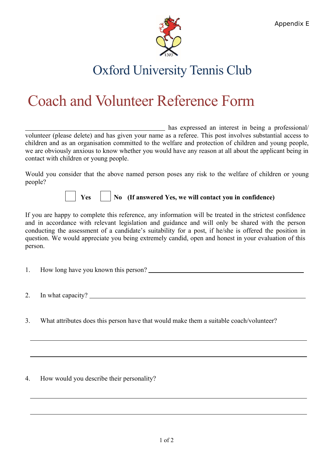

## Oxford University Tennis Club

## Coach and Volunteer Reference Form

 has expressed an interest in being a professional/ volunteer (please delete) and has given your name as a referee. This post involves substantial access to children and as an organisation committed to the welfare and protection of children and young people, we are obviously anxious to know whether you would have any reason at all about the applicant being in contact with children or young people.

Would you consider that the above named person poses any risk to the welfare of children or young people?

## **Yes No (If answered Yes, we will contact you in confidence)**

If you are happy to complete this reference, any information will be treated in the strictest confidence and in accordance with relevant legislation and guidance and will only be shared with the person conducting the assessment of a candidate's suitability for a post, if he/she is offered the position in question. We would appreciate you being extremely candid, open and honest in your evaluation of this person.

- 1. How long have you known this person?
	- 2. In what capacity?
	- 3. What attributes does this person have that would make them a suitable coach/volunteer?

4. How would you describe their personality?